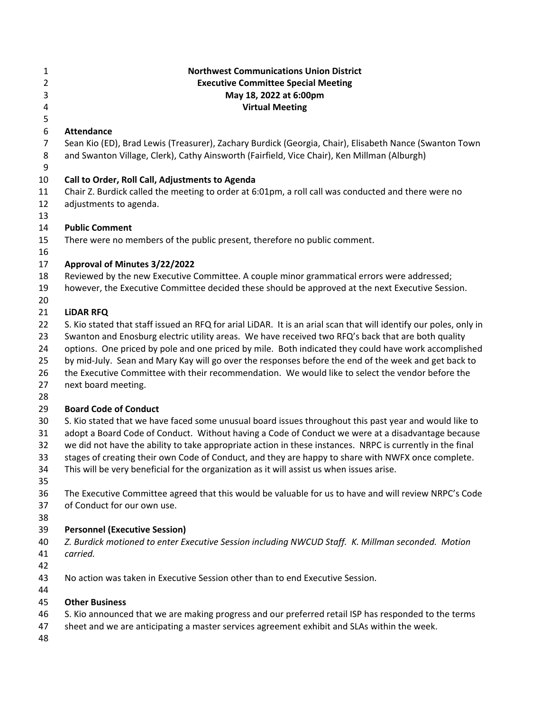| 1<br>$\overline{2}$ | <b>Northwest Communications Union District</b><br><b>Executive Committee Special Meeting</b>                                                                                                                 |
|---------------------|--------------------------------------------------------------------------------------------------------------------------------------------------------------------------------------------------------------|
| 3                   | May 18, 2022 at 6:00pm                                                                                                                                                                                       |
| 4                   | <b>Virtual Meeting</b>                                                                                                                                                                                       |
| 5                   | <b>Attendance</b>                                                                                                                                                                                            |
| 6<br>$\overline{7}$ | Sean Kio (ED), Brad Lewis (Treasurer), Zachary Burdick (Georgia, Chair), Elisabeth Nance (Swanton Town                                                                                                       |
| 8                   | and Swanton Village, Clerk), Cathy Ainsworth (Fairfield, Vice Chair), Ken Millman (Alburgh)                                                                                                                  |
| 9                   |                                                                                                                                                                                                              |
| 10                  | Call to Order, Roll Call, Adjustments to Agenda                                                                                                                                                              |
| 11                  | Chair Z. Burdick called the meeting to order at 6:01pm, a roll call was conducted and there were no                                                                                                          |
| 12                  | adjustments to agenda.                                                                                                                                                                                       |
| 13                  |                                                                                                                                                                                                              |
| 14                  | <b>Public Comment</b>                                                                                                                                                                                        |
| 15                  | There were no members of the public present, therefore no public comment.                                                                                                                                    |
| 16                  |                                                                                                                                                                                                              |
| 17                  | Approval of Minutes 3/22/2022                                                                                                                                                                                |
| 18                  | Reviewed by the new Executive Committee. A couple minor grammatical errors were addressed;                                                                                                                   |
| 19                  | however, the Executive Committee decided these should be approved at the next Executive Session.                                                                                                             |
| 20                  |                                                                                                                                                                                                              |
| 21                  | <b>LIDAR RFQ</b>                                                                                                                                                                                             |
| 22                  | S. Kio stated that staff issued an RFQ for arial LiDAR. It is an arial scan that will identify our poles, only in                                                                                            |
| 23                  | Swanton and Enosburg electric utility areas. We have received two RFQ's back that are both quality                                                                                                           |
| 24<br>25            | options. One priced by pole and one priced by mile. Both indicated they could have work accomplished<br>by mid-July. Sean and Mary Kay will go over the responses before the end of the week and get back to |
| 26                  | the Executive Committee with their recommendation. We would like to select the vendor before the                                                                                                             |
| 27                  | next board meeting.                                                                                                                                                                                          |
| 28                  |                                                                                                                                                                                                              |
| 29                  | <b>Board Code of Conduct</b>                                                                                                                                                                                 |
| 30                  | S. Kio stated that we have faced some unusual board issues throughout this past year and would like to                                                                                                       |
| 31                  | adopt a Board Code of Conduct. Without having a Code of Conduct we were at a disadvantage because                                                                                                            |
| 32                  | we did not have the ability to take appropriate action in these instances. NRPC is currently in the final                                                                                                    |
| 33                  | stages of creating their own Code of Conduct, and they are happy to share with NWFX once complete.                                                                                                           |
| 34                  | This will be very beneficial for the organization as it will assist us when issues arise.                                                                                                                    |
| 35                  |                                                                                                                                                                                                              |
| 36                  | The Executive Committee agreed that this would be valuable for us to have and will review NRPC's Code                                                                                                        |
| 37                  | of Conduct for our own use.                                                                                                                                                                                  |
| 38                  |                                                                                                                                                                                                              |
| 39                  | <b>Personnel (Executive Session)</b>                                                                                                                                                                         |
| 40                  | Z. Burdick motioned to enter Executive Session including NWCUD Staff. K. Millman seconded. Motion                                                                                                            |
| 41                  | carried.                                                                                                                                                                                                     |
| 42                  | No action was taken in Executive Session other than to end Executive Session.                                                                                                                                |
| 43<br>44            |                                                                                                                                                                                                              |
| 45                  | <b>Other Business</b>                                                                                                                                                                                        |
| 46                  | S. Kio announced that we are making progress and our preferred retail ISP has responded to the terms                                                                                                         |
| 47                  | sheet and we are anticipating a master services agreement exhibit and SLAs within the week.                                                                                                                  |
| 48                  |                                                                                                                                                                                                              |
|                     |                                                                                                                                                                                                              |